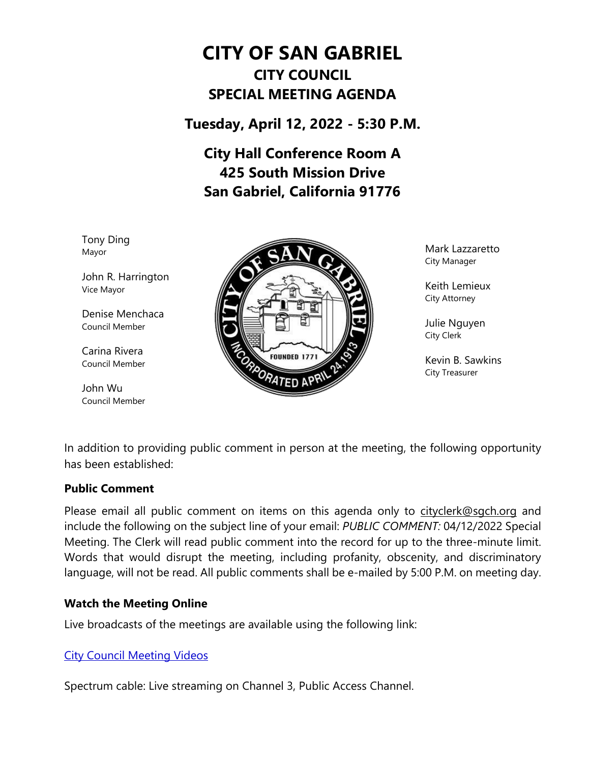# **CITY OF SAN GABRIEL CITY COUNCIL SPECIAL MEETING AGENDA**

**Tuesday, April 12, 2022 - 5:30 P.M.**

**City Hall Conference Room A 425 South Mission Drive San Gabriel, California 91776**

Tony Ding Mayor

John R. Harrington Vice Mayor

Denise Menchaca Council Member

Carina Rivera Council Member

John Wu Council Member



Mark Lazzaretto City Manager

Keith Lemieux City Attorney

Julie Nguyen City Clerk

Kevin B. Sawkins City Treasurer

In addition to providing public comment in person at the meeting, the following opportunity has been established:

#### **Public Comment**

Please email all public comment on items on this agenda only to [cityclerk@sgch.org](mailto:cityclerk@sgch.org) and include the following on the subject line of your email: *PUBLIC COMMENT:* 04/12/2022 Special Meeting. The Clerk will read public comment into the record for up to the three-minute limit. Words that would disrupt the meeting, including profanity, obscenity, and discriminatory language, will not be read. All public comments shall be e-mailed by 5:00 P.M. on meeting day.

## **Watch the Meeting Online**

Live broadcasts of the meetings are available using the following link:

## [City Council Meeting Videos](https://www.youtube.com/CityofSanGabriel)

Spectrum cable: Live streaming on Channel 3, Public Access Channel.